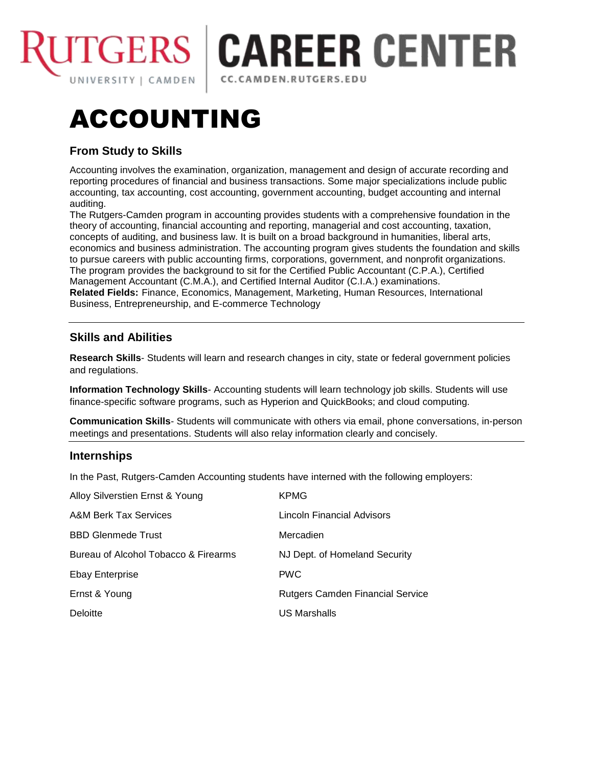

# **GERS | CAREER CENTER** CC.CAMDEN.RUTGERS.EDU

# ACCOUNTING

# **From Study to Skills**

Accounting involves the examination, organization, management and design of accurate recording and reporting procedures of financial and business transactions. Some major specializations include public accounting, tax accounting, cost accounting, government accounting, budget accounting and internal auditing.

The Rutgers-Camden program in accounting provides students with a comprehensive foundation in the theory of accounting, financial accounting and reporting, managerial and cost accounting, taxation, concepts of auditing, and business law. It is built on a broad background in humanities, liberal arts, economics and business administration. The accounting program gives students the foundation and skills to pursue careers with public accounting firms, corporations, government, and nonprofit organizations. The program provides the background to sit for the Certified Public Accountant (C.P.A.), Certified Management Accountant (C.M.A.), and Certified Internal Auditor (C.I.A.) examinations. **Related Fields:** Finance, Economics, Management, Marketing, Human Resources, International Business, Entrepreneurship, and E-commerce Technology

# **Skills and Abilities**

**Research Skills**- Students will learn and research changes in city, state or federal government policies and regulations.

**Information Technology Skills**- Accounting students will learn technology job skills. Students will use finance-specific software programs, such as Hyperion and QuickBooks; and cloud computing.

**Communication Skills**- Students will communicate with others via email, phone conversations, in-person meetings and presentations. Students will also relay information clearly and concisely.

#### **Internships**

In the Past, Rutgers-Camden Accounting students have interned with the following employers:

| Alloy Silverstien Ernst & Young      | <b>KPMG</b>                      |
|--------------------------------------|----------------------------------|
| A&M Berk Tax Services                | Lincoln Financial Advisors       |
| <b>BBD Glenmede Trust</b>            | Mercadien                        |
| Bureau of Alcohol Tobacco & Firearms | NJ Dept. of Homeland Security    |
| <b>Ebay Enterprise</b>               | <b>PWC</b>                       |
| Ernst & Young                        | Rutgers Camden Financial Service |
| Deloitte                             | US Marshalls                     |